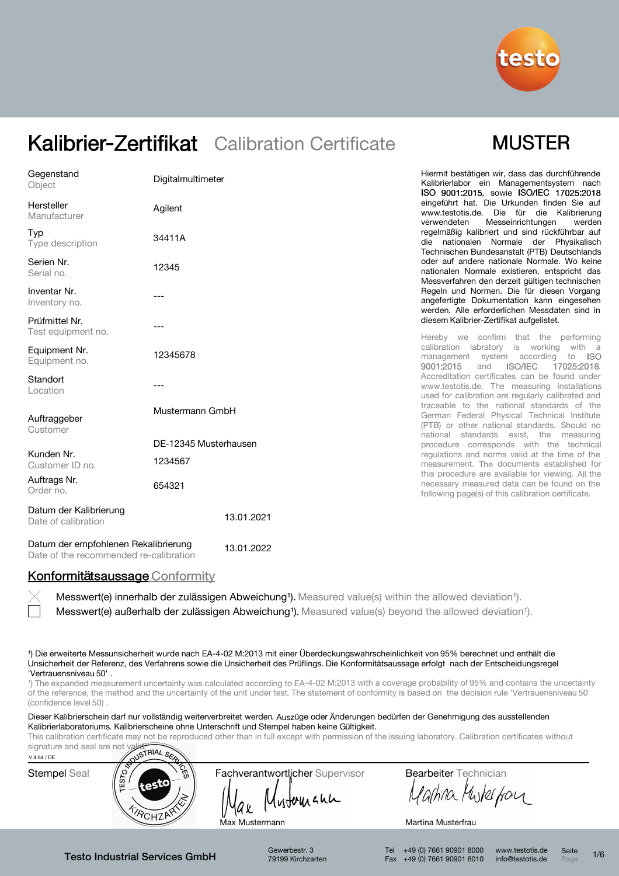

## **MUSTER**

| Gegenstand<br>Object                          | Digitalmultimeter     | Hiermit bestätigen wir, dass das durchführende<br>Kalibrierlabor ein Managementsystem nach<br>ISO 9001:2015, sowie ISO/IEC 17025:2018                                                     |
|-----------------------------------------------|-----------------------|-------------------------------------------------------------------------------------------------------------------------------------------------------------------------------------------|
| Hersteller<br>Manufacturer                    | Agilent               | eingeführt hat. Die Urkunden finden Sie auf<br>www.testotis.de. Die für die Kalibrierung<br>Messeinrichtungen<br>verwendeten<br>werden                                                    |
| Typ<br>Type description                       | 34411A                | regelmäßig kalibriert und sind rückführbar auf<br>die nationalen Normale der Physikalisch<br>Technischen Bundesanstalt (PTB) Deutschlands                                                 |
| Serien Nr.<br>Serial no.                      | 12345                 | oder auf andere nationale Normale. Wo keine<br>nationalen Normale existieren, entspricht das<br>Messverfahren den derzeit gültigen technischen                                            |
| Inventar Nr.<br>Inventory no.                 |                       | Regeln und Normen. Die für diesen Vorgang<br>angefertigte Dokumentation kann eingesehen<br>werden. Alle erforderlichen Messdaten sind in                                                  |
| Prüfmittel Nr.<br>Test equipment no.          |                       | diesem Kalibrier-Zertifikat aufgelistet.                                                                                                                                                  |
| Equipment Nr.<br>Equipment no.                | 12345678              | Hereby we confirm that the performing<br>calibration labratory is working<br>with a<br>management system<br>according<br>to<br>- ISO<br>9001:2015<br><b>ISO/IEC</b><br>17025:2018.<br>and |
| Standort<br>Location                          |                       | Accreditation certificates can be found under<br>www.testotis.de. The measuring installations<br>used for calibration are regularly calibrated and                                        |
| Auftraggeber<br>Customer                      | Mustermann GmbH       | traceable to the national standards of the<br>German Federal Physical Technical Institute<br>(PTB) or other national standards. Should no                                                 |
|                                               | DE-12345 Musterhausen | national standards exist, the measuring<br>procedure corresponds with the technical                                                                                                       |
| Kunden Nr.<br>Customer ID no.                 | 1234567               | regulations and norms valid at the time of the<br>measurement. The documents established for                                                                                              |
| Auftrags Nr.<br>Order no.                     | 654321                | this procedure are available for viewing. All the<br>necessary measured data can be found on the<br>following page(s) of this calibration certificate.                                    |
| Datum der Kalibrierung<br>Date of calibration | 13.01.2021            |                                                                                                                                                                                           |

Datum der empfohlenen Rekalibrierung Date of the recommended re-calibration 13.01.2022

#### Konformitätsaussage Conformity

Messwert(e) außerhalb der zulässigen Abweichung<sup>1</sup>). Measured value(s) beyond the allowed deviation<sup>1</sup>). Messwert(e) innerhalb der zulässigen Abweichung<sup>1</sup>). Measured value(s) within the allowed deviation<sup>1</sup>).

¹) Die erweiterte Messunsicherheit wurde nach EA-4-02 M:2013 mit einer Überdeckungswahrscheinlichkeit von 95% berechnet und enthält die Unsicherheit der Referenz, des Verfahrens sowie die Unsicherheit des Prüflings. Die Konformitätsaussage erfolgt nach der Entscheidungsregel 'Vertrauensniveau 50' .

<sup>1</sup>) The expanded measurement uncertainty was calculated according to EA-4-02 M:2013 with a coverage probability of 95% and contains the uncertainty of the reference, the method and the uncertainty of the unit under test. The statement of conformity is based on the decision rule 'Vertrauensniveau 50' (confidence level 50)

Dieser Kalibrierschein darf nur vollständig weiterverbreitet werden. Auszüge oder Änderungen bedürfen der Genehmigung des ausstellenden Kalibrierlaboratoriums. Kalibrierscheine ohne Unterschrift und Stempel haben keine Gültigkeit.

This calibration certificate may not be reproduced other than in full except with permission of the issuing laboratory. Calibration certificates without



Gewerbestr. 3 79199 Kirchzarten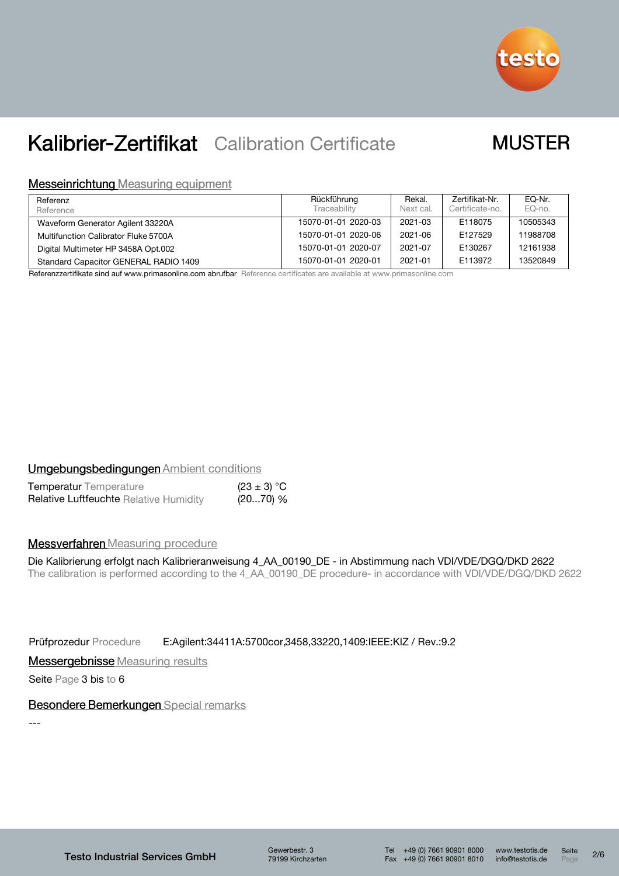

## **MUSTER**

#### **Messeinrichtung Measuring equipment**

| Referenz<br>Reference                 | Rückführung<br>Traceability | Rekal.<br>Next cal. | Zertifikat-Nr.<br>Certificate-no. | EQ-Nr.<br>EQ-no. |
|---------------------------------------|-----------------------------|---------------------|-----------------------------------|------------------|
| Waveform Generator Agilent 33220A     | 15070-01-01 2020-03         | 2021-03             | E118075                           | 10505343         |
| Multifunction Calibrator Fluke 5700A  | 15070-01-01 2020-06         | 2021-06             | F127529                           | 11988708         |
| Digital Multimeter HP 3458A Opt.002   | 15070-01-01 2020-07         | 2021-07             | E130267                           | 12161938         |
| Standard Capacitor GENERAL RADIO 1409 | 15070-01-01 2020-01         | 2021-01             | E113972                           | 13520849         |

Referenzzertifikate sind auf www.primasonline.com abrufbar Reference certificates are available at www.primasonline.com

### **Umgebungsbedingungen Ambient conditions**

| <b>Temperatur</b> Temperature                 | $(23 \pm 3) °C$ |  |
|-----------------------------------------------|-----------------|--|
| <b>Relative Luftfeuchte Relative Humidity</b> | (2070) %        |  |

#### **Messverfahren** Measuring procedure

Die Kalibrierung erfolgt nach Kalibrieranweisung 4\_AA\_00190\_DE - in Abstimmung nach VDI/VDE/DGQ/DKD 2622 The calibration is performed according to the 4\_AA\_00190\_DE procedure- in accordance with VDI/VDE/DGQ/DKD 2622

Prüfprozedur Procedure E:Agilent:34411A:5700cor,3458,33220,1409:IEEE:KIZ / Rev.:9.2

**Messergebnisse** Measuring results

Seite Page 3 bis to 6

#### Besondere Bemerkungen Special remarks

---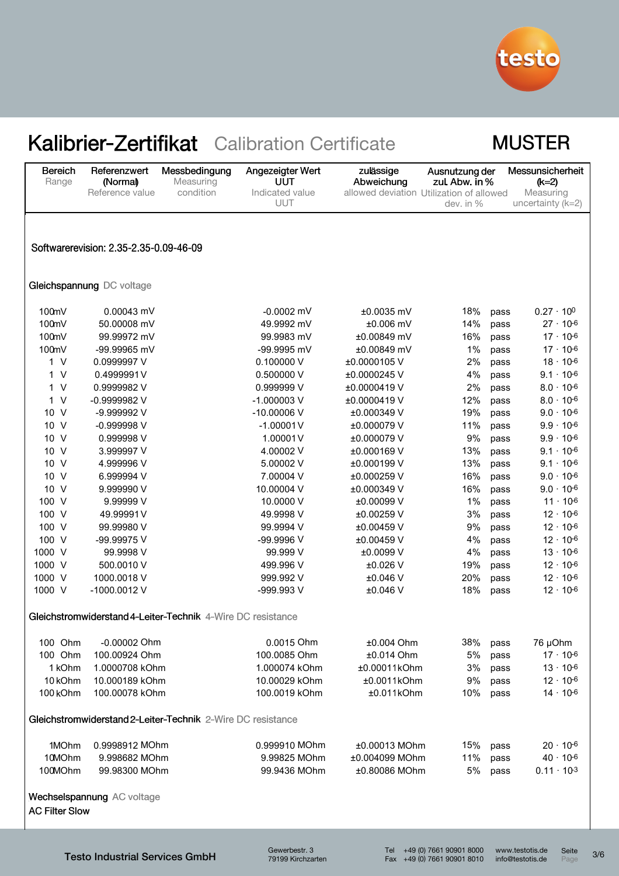

## **MUSTER**

| <b>Bereich</b><br>Range | Referenzwert<br>(Normal)               | Messbedingung<br>Measuring                                  | Angezeigter Wert<br>UUT | zulässige<br>Abweichung                  | Ausnutzung der<br>zul. Abw. in % |      | Messunsicherheit<br>$(k=2)$      |
|-------------------------|----------------------------------------|-------------------------------------------------------------|-------------------------|------------------------------------------|----------------------------------|------|----------------------------------|
|                         | Reference value                        | condition                                                   | Indicated value<br>UUT  | allowed deviation Utilization of allowed | dev. in %                        |      | Measuring<br>uncertainty $(k=2)$ |
|                         |                                        |                                                             |                         |                                          |                                  |      |                                  |
|                         |                                        |                                                             |                         |                                          |                                  |      |                                  |
|                         | Softwarerevision: 2.35-2.35-0.09-46-09 |                                                             |                         |                                          |                                  |      |                                  |
|                         |                                        |                                                             |                         |                                          |                                  |      |                                  |
|                         | Gleichspannung DC voltage              |                                                             |                         |                                          |                                  |      |                                  |
| 100mV                   | 0.00043 mV                             |                                                             | $-0.0002$ mV            | ±0.0035 mV                               | 18%                              | pass | $0.27 \cdot 10^{0}$              |
| 100mV                   | 50.00008 mV                            |                                                             | 49.9992 mV              | $±0.006$ mV                              | 14%                              | pass | $27 \cdot 10^{-6}$               |
| 100mV                   | 99.99972 mV                            |                                                             | 99.9983 mV              | ±0.00849 mV                              | 16%                              | pass | $17 \cdot 10^{-6}$               |
| 100mV                   | -99.99965 mV                           |                                                             | -99.9995 mV             | ±0.00849 mV                              | 1%                               | pass | $17 \cdot 10^{-6}$               |
| 1 V                     | 0.0999997 V                            |                                                             | 0.100000V               | ±0.0000105V                              | 2%                               | pass | $18 \cdot 10^{-6}$               |
| 1 V                     | 0.4999991V                             |                                                             | 0.500000 V              | ±0.0000245V                              | 4%                               | pass | $9.1 \cdot 10^{-6}$              |
| 1 V                     | 0.9999982 V                            |                                                             | 0.999999 V              | ±0.0000419V                              | 2%                               | pass | $8.0 \cdot 10^{-6}$              |
| 1 V                     | -0.9999982 V                           |                                                             | $-1.000003$ V           | ±0.0000419V                              | 12%                              | pass | $8.0 \cdot 10^{-6}$              |
| 10 V                    | -9.999992 V                            |                                                             | $-10.00006$ V           | ±0.000349 V                              | 19%                              | pass | $9.0 \cdot 10^{-6}$              |
| 10 V                    | -0.999998 V                            |                                                             | $-1.00001V$             | ±0.000079V                               | 11%                              | pass | $9.9 \cdot 10^{-6}$              |
| 10 V                    | 0.999998 V                             |                                                             | 1.00001V                | ±0.000079V                               | 9%                               | pass | $9.9 \cdot 10^{-6}$              |
| 10 V                    | 3.999997 V                             |                                                             | 4.00002V                | ±0.000169 V                              | 13%                              | pass | $9.1 \cdot 10^{-6}$              |
| 10 V                    | 4.999996 V                             |                                                             | 5.00002V                | ±0.000199 V                              | 13%                              | pass | $9.1 \cdot 10^{-6}$              |
| 10 V                    | 6.999994 V                             |                                                             | 7.00004 V               | ±0.000259 V                              | 16%                              | pass | $9.0 \cdot 10^{-6}$              |
| 10 V                    | 9.999990 V                             |                                                             | 10.00004 V              | ±0.000349 V                              | 16%                              | pass | $9.0 \cdot 10^{-6}$              |
| 100 V                   | 9.99999 V                              |                                                             | 10.0000 V               | ±0.00099V                                | 1%                               | pass | $11 \cdot 10^{6}$                |
| 100 V                   | 49.99991V                              |                                                             | 49.9998 V               | ±0.00259 V                               | 3%                               | pass | $12 \cdot 10^{-6}$               |
| 100 V                   | 99.99980 V                             |                                                             | 99.9994 V               | ±0.00459 V                               | 9%                               | pass | $12 \cdot 10^{-6}$               |
| 100 V                   | -99.99975 V                            |                                                             | -99.9996 V              | ±0.00459 V                               | 4%                               | pass | $12 \cdot 10^{-6}$               |
| 1000 V                  | 99.9998 V                              |                                                             | 99.999 V                | ±0.0099 V                                | 4%                               | pass | $13 \cdot 10^{-6}$               |
| 1000 V                  | 500.0010 V                             |                                                             | 499.996 V               | ±0.026 V                                 | 19%                              | pass | $12 \cdot 10^{-6}$               |
| 1000 V                  | 1000.0018 V                            |                                                             | 999.992 V               | ±0.046 V                                 | 20%                              | pass | $12 \cdot 10^{-6}$               |
| 1000 V                  | -1000.0012 V                           |                                                             | -999.993 V              | $±0.046$ V                               | 18%                              | pass | $12 \cdot 10^{-6}$               |
|                         |                                        | Gleichstromwiderstand 4-Leiter-Technik 4-Wire DC resistance |                         |                                          |                                  |      |                                  |
| 100 Ohm                 | -0.00002 Ohm                           |                                                             | 0.0015 Ohm              | ±0.004 Ohm                               | 38%                              | pass | 76 µOhm                          |
| 100 Ohm                 | 100.00924 Ohm                          |                                                             | 100.0085 Ohm            | ±0.014 Ohm                               | 5%                               | pass | $17 \cdot 10^{-6}$               |
| 1 kOhm                  | 1.0000708 kOhm                         |                                                             | 1.000074 kOhm           | ±0.00011kOhm                             | 3%                               | pass | $13 \cdot 10^{-6}$               |
| 10 <sub>kOhm</sub>      | 10.000189 kOhm                         |                                                             | 10.00029 kOhm           | ±0.0011kOhm                              | 9%                               | pass | $12 \cdot 10^{-6}$               |
| 100 kOhm                | 100.00078 kOhm                         |                                                             | 100.0019 kOhm           | $±0.011$ kOhm                            | 10%                              | pass | $14 \cdot 10^{-6}$               |
|                         |                                        | Gleichstromwiderstand 2-Leiter-Technik 2-Wire DC resistance |                         |                                          |                                  |      |                                  |
| 1MOhm                   | 0.9998912 MOhm                         |                                                             | 0.999910 MOhm           | $±0.00013$ MOhm                          | 15%                              | pass | $20 \cdot 10^{-6}$               |
| 10MOhm                  | 9.998682 MOhm                          |                                                             | 9.99825 MOhm            | ±0.004099 MOhm                           | 11%                              | pass | $40 \cdot 10^{-6}$               |
| 100MOhm                 | 99.98300 MOhm                          |                                                             | 99.9436 MOhm            | ±0.80086 MOhm                            | 5%                               | pass | $0.11 \cdot 10^{-3}$             |
| <b>AC Filter Slow</b>   | Wechselspannung AC voltage             |                                                             |                         |                                          |                                  |      |                                  |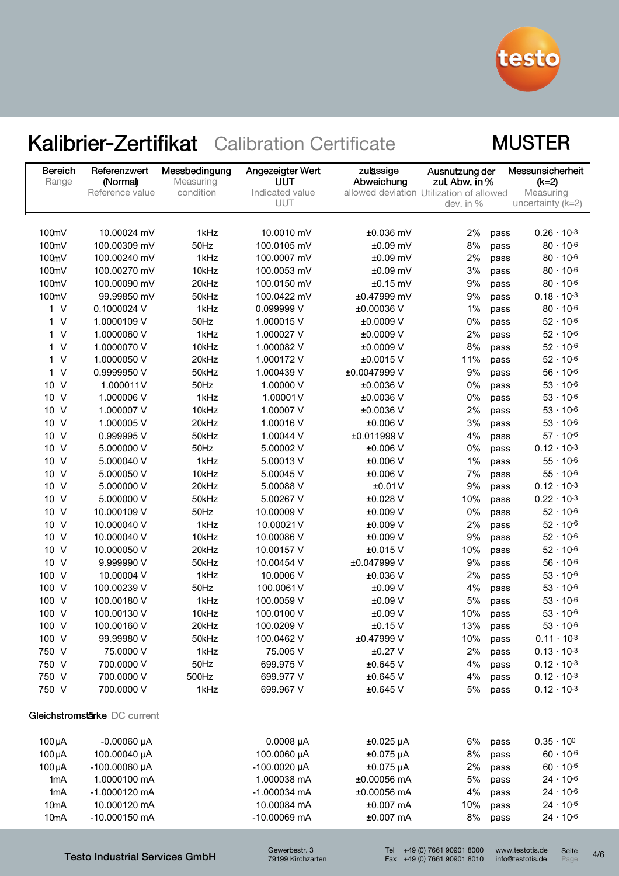

## **MUSTER**

| <b>Bereich</b><br>Range   | Referenzwert<br>(Normal)     | Messbedingung<br>Measuring | Angezeigter Wert<br>UUT | zulässige<br>Abweichung                  | Ausnutzung der<br>zul. Abw. in % |              | Messunsicherheit<br>(k=2)                  |
|---------------------------|------------------------------|----------------------------|-------------------------|------------------------------------------|----------------------------------|--------------|--------------------------------------------|
|                           | Reference value              | condition                  | Indicated value         | allowed deviation Utilization of allowed |                                  |              | Measuring                                  |
|                           |                              |                            | UUT                     |                                          | dev. in %                        |              | uncertainty $(k=2)$                        |
|                           |                              |                            |                         |                                          |                                  |              |                                            |
| 100mV                     | 10.00024 mV                  | 1kHz                       | 10.0010 mV              | $±0.036$ mV                              | 2%                               | pass         | $0.26 \cdot 10^{-3}$                       |
| 100mV                     | 100.00309 mV                 | 50Hz                       | 100.0105 mV             | $±0.09$ mV                               | 8%                               | pass         | $80 \cdot 10^{-6}$                         |
| 100mV                     | 100.00240 mV                 | 1kHz                       | 100.0007 mV             | $±0.09$ mV                               | 2%                               | pass         | $80 \cdot 10^{-6}$                         |
| 100mV                     | 100.00270 mV                 | 10kHz                      | 100.0053 mV             | $±0.09$ mV                               | 3%                               | pass         | $80 \cdot 10^{-6}$                         |
| 100mV                     | 100.00090 mV                 | 20kHz                      | 100.0150 mV             | $±0.15$ mV                               | 9%                               | pass         | $80 \cdot 10^{-6}$                         |
| 100mV                     | 99.99850 mV                  | 50kHz                      | 100.0422 mV             | ±0.47999 mV                              | 9%                               | pass         | $0.18 \cdot 10^{-3}$                       |
| 1 V                       | 0.1000024 V                  | 1kHz                       | 0.099999 V              | ±0.00036 V                               | 1%                               | pass         | $80 \cdot 10^{-6}$                         |
| $\vee$<br>1.              | 1.0000109 V                  | 50Hz                       | 1.000015V               | ±0.0009 V                                | 0%                               | pass         | $52 \cdot 10^{-6}$                         |
| $\vee$<br>1.              | 1.0000060 V                  | 1kHz                       | 1.000027 V              | ±0.0009 V                                | 2%                               | pass         | $52 \cdot 10^{-6}$                         |
| $\vee$<br>1               | 1.0000070 V                  | 10kHz                      | 1.000082 V              | ±0.0009 V                                | 8%                               | pass         | $52 \cdot 10^{-6}$                         |
| $\vee$<br>1               | 1.0000050 V                  | 20kHz                      | 1.000172V               | ±0.0015 V                                | 11%                              | pass         | $52 \cdot 10^{-6}$                         |
| $\vee$<br>1               | 0.9999950 V                  | 50kHz                      | 1.000439 V              | ±0.0047999V                              | 9%                               | pass         | $56 \cdot 10^{-6}$                         |
| $\vee$<br>10 <sup>°</sup> | 1.000011V                    | 50Hz                       | 1.00000 V               | ±0.0036 V                                | 0%                               | pass         | $53 \cdot 10^{-6}$                         |
| $\vee$<br>10 <sup>°</sup> | 1.000006 V                   | 1kHz                       | 1.00001V                | ±0.0036 V                                | 0%                               | pass         | $53 -$<br>$10 - 6$                         |
| 10 V                      | 1.000007 V                   | 10kHz                      | 1.00007 V               | ±0.0036 V                                | 2%                               | pass         | $53 -$<br>$10 - 6$                         |
| 10 V                      | 1.000005V                    | 20kHz                      | 1.00016 V               | ±0.006 V                                 | 3%                               | pass         | $53 \cdot 10^{-6}$                         |
| 10 V                      | 0.999995V                    | 50kHz                      | 1.00044 V               | ±0.011999V                               | 4%                               | pass         | $57 \cdot 10^{-6}$                         |
| 10 V                      | 5.000000 V                   | 50Hz                       | 5.00002 V               | ±0.006 V                                 | 0%                               | pass         | $0.12 \cdot 10^{-3}$                       |
| 10 V                      | 5.000040 V                   | 1kHz                       | 5.00013V                | ±0.006 V                                 | 1%                               | pass         | $55 \cdot 10^{-6}$                         |
| 10 V                      | 5.000050 V                   | 10kHz                      | 5.00045 V               | ±0.006 V                                 | 7%                               | pass         | $55 \cdot 10^{-6}$                         |
| 10 V                      | 5.000000 V                   | 20kHz                      | 5.00088 V               | ±0.01V                                   | 9%                               | pass         | $0.12 \cdot 10^{-3}$                       |
| 10 V<br>10 V              | 5.000000 V                   | 50kHz<br>50Hz              | 5.00267 V               | ±0.028 V                                 | 10%<br>0%                        | pass         | $0.22 \cdot 10^{-3}$<br>$52 \cdot 10^{-6}$ |
| 10 V                      | 10.000109 V                  | 1kHz                       | 10.00009 V              | ±0.009 V                                 |                                  | pass         | $52 \cdot 10^{-6}$                         |
| 10 V                      | 10.000040 V<br>10.000040 V   | 10kHz                      | 10.00021V<br>10.00086 V | ±0.009 V<br>±0.009 V                     | 2%<br>9%                         | pass         | $52 \cdot 10^{-6}$                         |
| 10 V                      | 10.000050 V                  | 20kHz                      | 10.00157 V              | ±0.015 V                                 | 10%                              | pass         | $52 \cdot 10^{-6}$                         |
| 10 V                      | 9.999990 V                   | 50kHz                      | 10.00454 V              | ±0.047999 V                              | 9%                               | pass<br>pass | $56 \cdot 10^{-6}$                         |
| 100 V                     | 10.00004 V                   | 1kHz                       | 10.0006 V               | ±0.036 V                                 | 2%                               | pass         | $53 \cdot 10^{-6}$                         |
| 100 V                     | 100.00239 V                  | 50Hz                       | 100.0061V               | ±0.09 V                                  | 4%                               | pass         | $53 \cdot 10^{-6}$                         |
| 100 V                     | 100.00180 V                  | 1kHz                       | 100.0059 V              | ±0.09 V                                  | 5%                               | pass         | $53 \cdot 10^{-6}$                         |
| 100 V                     | 100.00130 V                  | 10kHz                      | 100.0100 V              | ±0.09 V                                  | 10%                              | pass         | $53 \cdot 10^{-6}$                         |
| 100 V                     | 100.00160 V                  | 20kHz                      | 100.0209 V              | ±0.15 V                                  | 13%                              | pass         | $53 \cdot 10^{-6}$                         |
| 100 V                     | 99.99980 V                   | 50kHz                      | 100.0462 V              | ±0.47999 V                               | 10%                              | pass         | $0.11 \cdot 10^{-3}$                       |
| 750 V                     | 75.0000 V                    | 1kHz                       | 75.005 V                | $±0.27$ V                                | 2%                               | pass         | $0.13 \cdot 10^{-3}$                       |
| 750 V                     | 700.0000 V                   | 50Hz                       | 699.975 V               | ±0.645 V                                 | 4%                               | pass         | $0.12 \cdot 10^{-3}$                       |
| 750 V                     | 700.0000 V                   | 500Hz                      | 699.977 V               | ±0.645 V                                 | 4%                               | pass         | $0.12 \cdot 10^{-3}$                       |
| 750 V                     | 700.0000 V                   | 1kHz                       | 699.967 V               | ±0.645 V                                 | 5%                               | pass         | $0.12 \cdot 10^{-3}$                       |
|                           | Gleichstromstärke DC current |                            |                         |                                          |                                  |              |                                            |
| $100\,\mu A$              | $-0.00060 \mu A$             |                            | $0.0008$ µA             | $±0.025$ µA                              | 6%                               | pass         | $0.35 \cdot 10^{0}$                        |
| $100\mu A$                | 100.00040 µA                 |                            | 100.0060 µA             | $±0.075$ µA                              | 8%                               | pass         | $60 \cdot 10^{-6}$                         |
| $100\mu A$                | -100.00060 µA                |                            | $-100.0020 \mu A$       | $±0.075$ µA                              | 2%                               | pass         | $60 \cdot 10^{-6}$                         |
| 1 <sub>m</sub> A          | 1.0000100 mA                 |                            | 1.000038 mA             | ±0.00056 mA                              | 5%                               | pass         | $24 \cdot 10^{-6}$                         |
| 1 <sub>m</sub> A          | -1.0000120 mA                |                            | $-1.000034$ mA          | ±0.00056 mA                              | 4%                               | pass         | $24 \cdot 10^{-6}$                         |
| 10mA                      | 10.000120 mA                 |                            | 10.00084 mA             | $±0.007$ mA                              | 10%                              | pass         | $24 \cdot 10^{-6}$                         |
| 10mA                      | -10.000150 mA                |                            | -10.00069 mA            | ±0.007 mA                                | 8%                               | pass         | $24 \cdot 10^{-6}$                         |
|                           |                              |                            |                         |                                          |                                  |              |                                            |

Testo Industrial Services GmbH

Gewerbestr. 3 79199 Kirchzarten Tel +49 (0) 7661 90901 8000 Fax +49 (0) 7661 90901 8010 www.testotis.de info@testotis.de

Seite 4/6

Seite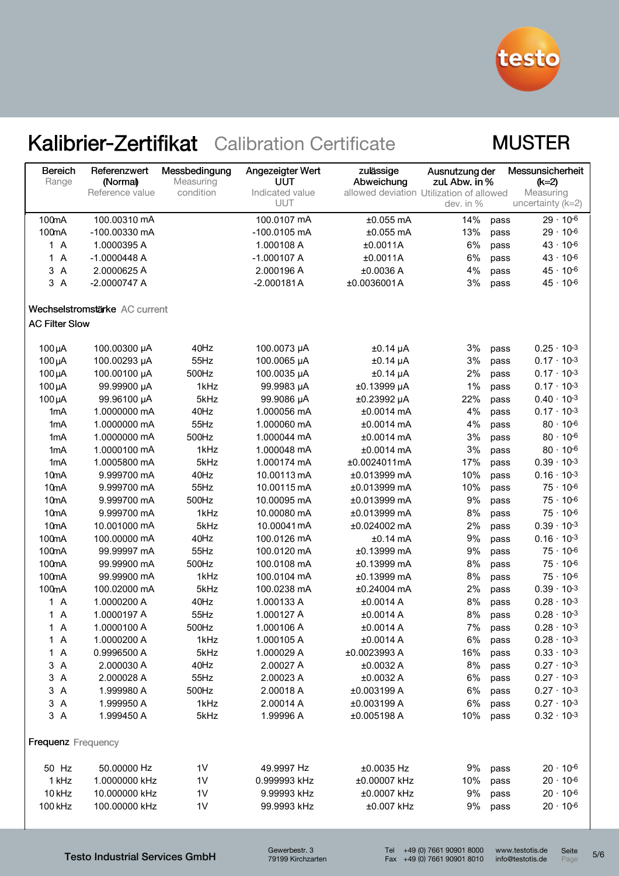

### **MUSTER**

| <b>Bereich</b><br>Range                 | Referenzwert<br>(Normal)      | Messbedingung<br>Measuring | Angezeigter Wert<br>UUT | zulässige<br>Abweichung                  | Ausnutzung der<br>zul. Abw. in % |      | Messunsicherheit<br>$(k=2)$ |
|-----------------------------------------|-------------------------------|----------------------------|-------------------------|------------------------------------------|----------------------------------|------|-----------------------------|
|                                         | Reference value               | condition                  | Indicated value         | allowed deviation Utilization of allowed |                                  |      | Measuring                   |
|                                         |                               |                            | <b>UUT</b>              |                                          | dev. in %                        |      | uncertainty (k=2)           |
| 100mA                                   | 100.00310 mA                  |                            | 100.0107 mA             | $±0.055$ mA                              | 14%                              | pass | $29 \cdot 10^{-6}$          |
| 100mA                                   | -100.00330 mA                 |                            | -100.0105 mA            | $±0.055$ mA                              | 13%                              | pass | $29 \cdot 10^{-6}$          |
| 1 A                                     | 1.0000395 A                   |                            | 1.000108 A              | ±0.0011A                                 | 6%                               | pass | $43 \cdot 10^{-6}$          |
| $\overline{A}$<br>$\mathbf{1}$          | $-1.0000448A$                 |                            | $-1.000107A$            | ±0.0011A                                 | 6%                               | pass | $43 \cdot 10^{-6}$          |
| 3<br>$\overline{A}$                     | 2.0000625 A                   |                            | 2.000196 A              | ±0.0036 A                                | 4%                               | pass | $45 \cdot 10^{-6}$          |
| 3A                                      | $-2.0000747A$                 |                            | $-2.000181A$            | ±0.0036001A                              | 3%                               | pass | $45 \cdot 10^{-6}$          |
|                                         | Wechselstromstärke AC current |                            |                         |                                          |                                  |      |                             |
| <b>AC Filter Slow</b>                   |                               |                            |                         |                                          |                                  |      |                             |
| $100\mu A$                              | 100.00300 µA                  | 40Hz                       | 100.0073 µA             | $±0.14$ µA                               | 3%                               | pass | $0.25 \cdot 10^{-3}$        |
| $100\mu A$                              | 100.00293 µA                  | 55Hz                       | 100.0065 µA             | $±0.14$ µA                               | 3%                               | pass | $0.17 \cdot 10^{-3}$        |
| $100\mu A$                              | 100.00100 µA                  | 500Hz                      | 100.0035 µA             | $±0.14$ µA                               | 2%                               | pass | $0.17 \cdot 10^{-3}$        |
| $100\mu A$                              | 99.99900 µA                   | 1kHz                       | 99.9983 µA              | ±0.13999 µA                              | 1%                               | pass | $0.17 \cdot 10^{-3}$        |
| $100\mu A$                              | 99.96100 µA                   | 5kHz                       | 99.9086 µA              | ±0.23992 µA                              | 22%                              | pass | $0.40 \cdot 10^{-3}$        |
| 1 <sub>m</sub> A                        | 1.0000000 mA                  | 40Hz                       | 1.000056 mA             | ±0.0014 mA                               | 4%                               | pass | $0.17 \cdot 10^{-3}$        |
| 1mA                                     | 1.0000000 mA                  | 55Hz                       | 1.000060 mA             | ±0.0014 mA                               | 4%                               | pass | $80 \cdot 10^{-6}$          |
| 1mA                                     | 1.0000000 mA                  | 500Hz                      | 1.000044 mA             | ±0.0014 mA                               | 3%                               | pass | $80 \cdot 10^{-6}$          |
| 1mA                                     | 1.0000100 mA                  | 1kHz                       | 1.000048 mA             | $±0.0014$ mA                             | 3%                               | pass | $80 \cdot 10^{-6}$          |
| 1 <sub>m</sub> A                        | 1.0005800 mA                  | 5kHz                       | 1.000174 mA             | ±0.0024011mA                             | 17%                              | pass | $0.39 \cdot 10^{-3}$        |
| 10 <sub>m</sub> A                       | 9.999700 mA                   | 40Hz                       | 10.00113 mA             | ±0.013999 mA                             | 10%                              | pass | $0.16 \cdot 10^{-3}$        |
| 10 <sub>m</sub> A                       | 9.999700 mA                   | 55Hz                       | 10.00115 mA             | ±0.013999 mA                             | 10%                              | pass | $75 \cdot 10^{-6}$          |
| 10 <sub>m</sub> A                       | 9.999700 mA                   | 500Hz                      | 10.00095 mA             | ±0.013999 mA                             | 9%                               | pass | $75 \cdot 10^{-6}$          |
| 10 <sub>m</sub> A                       | 9.999700 mA                   | 1kHz                       | 10.00080 mA             | ±0.013999 mA                             | 8%                               | pass | $75 \cdot 10^{-6}$          |
| 10 <sub>m</sub> A                       | 10.001000 mA                  | 5kHz                       | 10.00041mA              | ±0.024002 mA                             | 2%                               | pass | $0.39 \cdot 10^{-3}$        |
| 100mA                                   | 100.00000 mA                  | 40Hz                       | 100.0126 mA             | $±0.14$ mA                               | 9%                               | pass | $0.16 \cdot 10^{-3}$        |
| 100mA                                   | 99.99997 mA                   | 55Hz                       | 100.0120 mA             | ±0.13999 mA                              | 9%                               | pass | $75 \cdot 10^{-6}$          |
| 100mA                                   | 99.99900 mA                   | 500Hz                      | 100.0108 mA             | ±0.13999 mA                              | 8%                               | pass | $75 \cdot 10^{-6}$          |
| 100mA                                   | 99.99900 mA                   | 1kHz                       | 100.0104 mA             | ±0.13999 mA                              | 8%                               | pass | $75 \cdot 10^{-6}$          |
| 100mA                                   | 100.02000 mA                  | 5kHz                       | 100.0238 mA             | ±0.24004 mA                              | 2%                               | pass | $0.39 \cdot 10^{-3}$        |
| 1A                                      | 1.0000200 A                   | 40Hz                       | 1.000133 A              | ±0.0014 A                                | 8%                               | pass | $0.28 \cdot 10^{-3}$        |
| 1A                                      | 1.0000197 A                   | 55Hz                       | 1.000127 A              | ±0.0014A                                 | 8%                               | pass | $0.28 \cdot 10^{-3}$        |
| 1 A                                     | 1.0000100 A                   | 500Hz                      | 1.000106 A              | ±0.0014 A                                | 7%                               | pass | $0.28 \cdot 10^{-3}$        |
| 1 A                                     | 1.0000200 A                   | 1kHz                       | 1.000105 A              | ±0.0014A                                 | 6%                               | pass | $0.28 \cdot 10^{-3}$        |
| 1 A                                     | 0.9996500 A                   | 5kHz                       | 1.000029 A              | ±0.0023993 A                             | 16%                              | pass | $0.33 \cdot 10^{-3}$        |
| $\mathbf{3}$<br>$\overline{A}$          | 2.000030 A                    | 40Hz                       | 2.00027 A               | ±0.0032 A                                | 8%                               | pass | $0.27 \cdot 10^{-3}$        |
| $\mathbf{3}$<br>$\overline{\mathsf{A}}$ | 2.000028 A                    | 55Hz                       | 2.00023 A               | ±0.0032 A                                | 6%                               | pass | $0.27 \cdot 10^{-3}$        |
| 3<br>$\overline{A}$                     | 1.999980 A                    | 500Hz                      | 2.00018 A               | ±0.003199 A                              | 6%                               | pass | $0.27 \cdot 10^{-3}$        |
| 3<br>$\overline{A}$                     | 1.999950 A                    | 1kHz                       | 2.00014 A               | ±0.003199 A                              | 6%                               | pass | $0.27 \cdot 10^{-3}$        |
| 3 A                                     | 1.999450 A                    | 5kHz                       | 1.99996 A               | ±0.005198 A                              | 10%                              | pass | $0.32 \cdot 10^{-3}$        |
| <b>Frequenz</b> Frequency               |                               |                            |                         |                                          |                                  |      |                             |
| 50 Hz                                   | 50.00000 Hz                   | 1 <sub>V</sub>             | 49.9997 Hz              | ±0.0035 Hz                               | 9%                               | pass | $20 \cdot 10^{-6}$          |
| 1 kHz                                   | 1.0000000 kHz                 | 1V                         | 0.999993 kHz            | ±0.00007 kHz                             | 10%                              | pass | $20 \cdot 10^{-6}$          |
| 10 kHz                                  | 10.000000 kHz                 | 1 <sub>V</sub>             | 9.99993 kHz             | ±0.0007 kHz                              | 9%                               | pass | $20 \cdot 10^{-6}$          |
| 100 kHz                                 | 100.00000 kHz                 | 1 <sub>V</sub>             | 99.9993 kHz             | ±0.007 kHz                               | 9%                               | pass | $20 \cdot 10^{-6}$          |

Testo Industrial Services GmbH

Seite